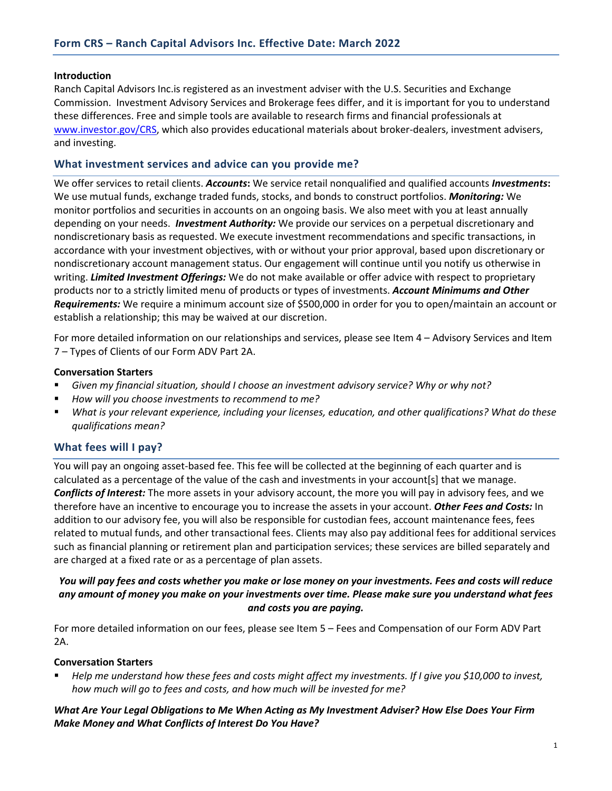#### **Introduction**

Ranch Capital Advisors Inc.is registered as an investment adviser with the U.S. Securities and Exchange Commission. Investment Advisory Services and Brokerage fees differ, and it is important for you to understand these differences. Free and simple tools are available to research firms and financial professionals at [www.investor.gov/CRS,](https://www.investor.gov/CRS) which also provides educational materials about broker-dealers, investment advisers, and investing.

## **What investment services and advice can you provide me?**

We offer services to retail clients. *Accounts***:** We service retail nonqualified and qualified accounts *Investments***:** We use mutual funds, exchange traded funds, stocks, and bonds to construct portfolios. *Monitoring:* We monitor portfolios and securities in accounts on an ongoing basis. We also meet with you at least annually depending on your needs. *Investment Authority:* We provide our services on a perpetual discretionary and nondiscretionary basis as requested. We execute investment recommendations and specific transactions, in accordance with your investment objectives, with or without your prior approval, based upon discretionary or nondiscretionary account management status. Our engagement will continue until you notify us otherwise in writing. *Limited Investment Offerings:* We do not make available or offer advice with respect to proprietary products nor to a strictly limited menu of products or types of investments. *Account Minimums and Other Requirements:* We require a minimum account size of \$500,000 in order for you to open/maintain an account or establish a relationship; this may be waived at our discretion.

For more detailed information on our relationships and services, please see Item 4 – Advisory Services and Item 7 – Types of Clients of our Form ADV Part 2A.

#### **Conversation Starters**

- *Given my financial situation, should I choose an investment advisory service? Why or why not?*
- *How will you choose investments to recommend to me?*
- *What is your relevant experience, including your licenses, education, and other qualifications? What do these qualifications mean?*

### **What fees will I pay?**

You will pay an ongoing asset-based fee. This fee will be collected at the beginning of each quarter and is calculated as a percentage of the value of the cash and investments in your account[s] that we manage. *Conflicts of Interest:* The more assets in your advisory account, the more you will pay in advisory fees, and we therefore have an incentive to encourage you to increase the assets in your account. *Other Fees and Costs:* In addition to our advisory fee, you will also be responsible for custodian fees, account maintenance fees, fees related to mutual funds, and other transactional fees. Clients may also pay additional fees for additional services such as financial planning or retirement plan and participation services; these services are billed separately and are charged at a fixed rate or as a percentage of plan assets.

## *You will pay fees and costs whether you make or lose money on your investments. Fees and costs will reduce any amount of money you make on your investments over time. Please make sure you understand what fees and costs you are paying.*

For more detailed information on our fees, please see Item 5 – Fees and Compensation of our Form ADV Part 2A.

#### **Conversation Starters**

 *Help me understand how these fees and costs might affect my investments. If I give you \$10,000 to invest, how much will go to fees and costs, and how much will be invested for me?*

# *What Are Your Legal Obligations to Me When Acting as My Investment Adviser? How Else Does Your Firm Make Money and What Conflicts of Interest Do You Have?*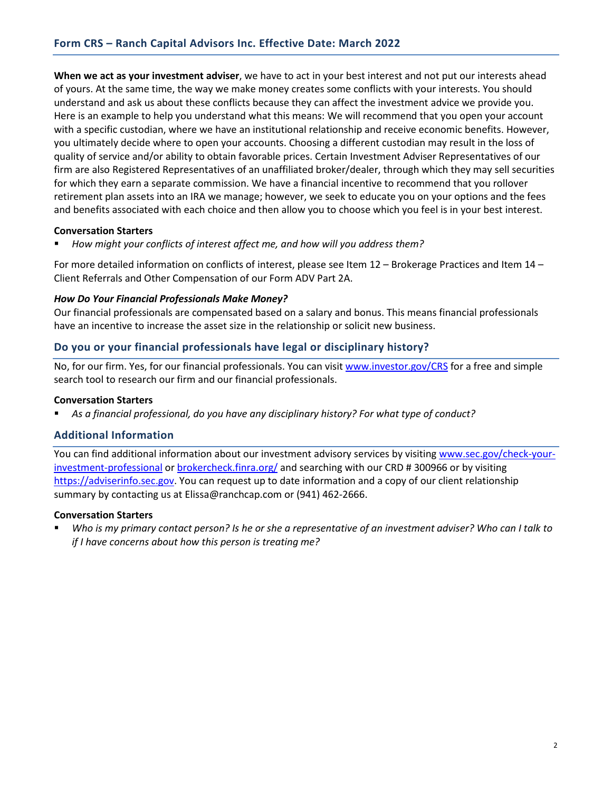**When we act as your investment adviser**, we have to act in your best interest and not put our interests ahead of yours. At the same time, the way we make money creates some conflicts with your interests. You should understand and ask us about these conflicts because they can affect the investment advice we provide you. Here is an example to help you understand what this means: We will recommend that you open your account with a specific custodian, where we have an institutional relationship and receive economic benefits. However, you ultimately decide where to open your accounts. Choosing a different custodian may result in the loss of quality of service and/or ability to obtain favorable prices. Certain Investment Adviser Representatives of our firm are also Registered Representatives of an unaffiliated broker/dealer, through which they may sell securities for which they earn a separate commission. We have a financial incentive to recommend that you rollover retirement plan assets into an IRA we manage; however, we seek to educate you on your options and the fees and benefits associated with each choice and then allow you to choose which you feel is in your best interest.

### **Conversation Starters**

*How might your conflicts of interest affect me, and how will you address them?*

For more detailed information on conflicts of interest, please see Item 12 – Brokerage Practices and Item 14 – Client Referrals and Other Compensation of our Form ADV Part 2A.

### *How Do Your Financial Professionals Make Money?*

Our financial professionals are compensated based on a salary and bonus. This means financial professionals have an incentive to increase the asset size in the relationship or solicit new business.

# **Do you or your financial professionals have legal or disciplinary history?**

No, for our firm. Yes, for our financial professionals. You can visi[t www.investor.gov/CRS](https://www.investor.gov/CRS) for a free and simple search tool to research our firm and our financial professionals.

### **Conversation Starters**

*As a financial professional, do you have any disciplinary history? For what type of conduct?*

# **Additional Information**

You can find additional information about our investment advisory services by visiting [www.sec.gov/check-your](https://www.sec.gov/check-your-investment-professional)[investment-professional](https://www.sec.gov/check-your-investment-professional) or [brokercheck.finra.org/](https://brokercheck.finra.org/) and searching with our CRD # 300966 or by visiting [https://adviserinfo.sec.gov.](https://adviserinfo.sec.gov/firm/summary/300966) You can request up to date information and a copy of our client relationship summary by contacting us at Elissa@ranchcap.com or (941) 462-2666.

### **Conversation Starters**

 *Who is my primary contact person? Is he or she a representative of an investment adviser? Who can I talk to if I have concerns about how this person is treating me?*